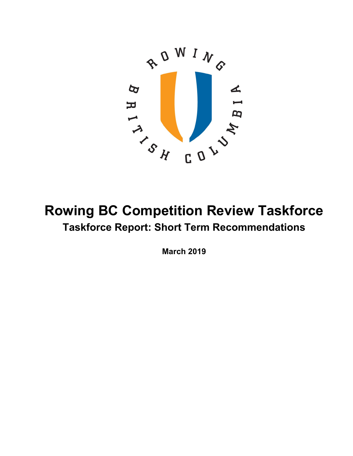

# **Rowing BC Competition Review Taskforce Taskforce Report: Short Term Recommendations**

**March 2019**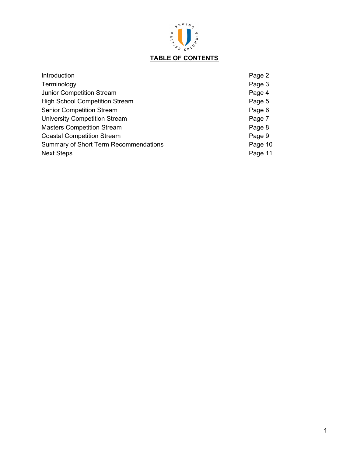

# **TABLE OF CONTENTS**

| Introduction                                 | Page 2  |
|----------------------------------------------|---------|
| Terminology                                  | Page 3  |
| <b>Junior Competition Stream</b>             | Page 4  |
| <b>High School Competition Stream</b>        | Page 5  |
| <b>Senior Competition Stream</b>             | Page 6  |
| <b>University Competition Stream</b>         | Page 7  |
| <b>Masters Competition Stream</b>            | Page 8  |
| <b>Coastal Competition Stream</b>            | Page 9  |
| <b>Summary of Short Term Recommendations</b> | Page 10 |
| <b>Next Steps</b>                            | Page 11 |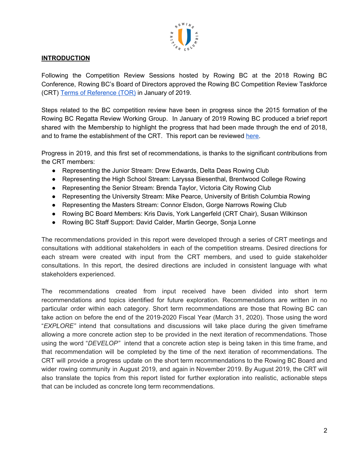

# **INTRODUCTION**

Following the Competition Review Sessions hosted by Rowing BC at the 2018 Rowing BC Conference, Rowing BC's Board of Directors approved the Rowing BC Competition Review Taskforce (CRT) Terms of [Reference](https://rowingbc.ca/wp-content/uploads/2019/02/Competition-Review-Taskforce-TOR-FINAL.pdf) (TOR) in January of 2019.

Steps related to the BC competition review have been in progress since the 2015 formation of the Rowing BC Regatta Review Working Group. In January of 2019 Rowing BC produced a brief report shared with the Membership to highlight the progress that had been made through the end of 2018, and to frame the establishment of the CRT. This report can be reviewed [here.](https://rowingbc.ca/wp-content/uploads/2019/02/Rowing-BC-Competition-Review-Report-FINAL.pdf)

Progress in 2019, and this first set of recommendations, is thanks to the significant contributions from the CRT members:

- Representing the Junior Stream: Drew Edwards, Delta Deas Rowing Club
- Representing the High School Stream: Laryssa Biesenthal, Brentwood College Rowing
- Representing the Senior Stream: Brenda Taylor, Victoria City Rowing Club
- Representing the University Stream: Mike Pearce, University of British Columbia Rowing
- Representing the Masters Stream: Connor Elsdon, Gorge Narrows Rowing Club
- Rowing BC Board Members: Kris Davis, York Langerfeld (CRT Chair), Susan Wilkinson
- Rowing BC Staff Support: David Calder, Martin George, Sonja Lonne

The recommendations provided in this report were developed through a series of CRT meetings and consultations with additional stakeholders in each of the competition streams. Desired directions for each stream were created with input from the CRT members, and used to guide stakeholder consultations. In this report, the desired directions are included in consistent language with what stakeholders experienced.

The recommendations created from input received have been divided into short term recommendations and topics identified for future exploration. Recommendations are written in no particular order within each category. Short term recommendations are those that Rowing BC can take action on before the end of the 2019-2020 Fiscal Year (March 31, 2020). Those using the word "*EXPLORE"* intend that consultations and discussions will take place during the given timeframe allowing a more concrete action step to be provided in the next iteration of recommendations. Those using the word "*DEVELOP"* intend that a concrete action step is being taken in this time frame, and that recommendation will be completed by the time of the next iteration of recommendations. The CRT will provide a progress update on the short term recommendations to the Rowing BC Board and wider rowing community in August 2019, and again in November 2019. By August 2019, the CRT will also translate the topics from this report listed for further exploration into realistic, actionable steps that can be included as concrete long term recommendations.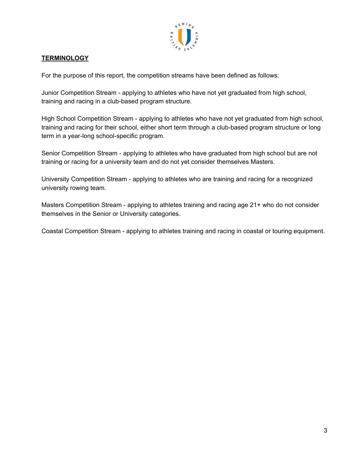

# **TERMINOLOGY**

For the purpose of this report, the competition streams have been defined as follows:

Junior Competition Stream - applying to athletes who have not yet graduated from high school, training and racing in a club-based program structure.

High School Competition Stream - applying to athletes who have not yet graduated from high school, training and racing for their school, either short term through a club-based program structure or long term in a year-long school-specific program.

Senior Competition Stream - applying to athletes who have graduated from high school but are not training or racing for a university team and do not yet consider themselves Masters.

University Competition Stream - applying to athletes who are training and racing for a recognized university rowing team.

Masters Competition Stream - applying to athletes training and racing age 21+ who do not consider themselves in the Senior or University categories.

Coastal Competition Stream - applying to athletes training and racing in coastal or touring equipment.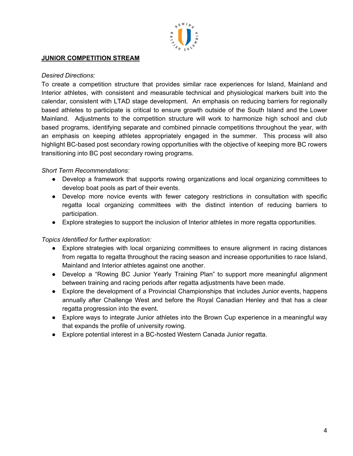

## **JUNIOR COMPETITION STREAM**

#### *Desired Directions:*

To create a competition structure that provides similar race experiences for Island, Mainland and Interior athletes, with consistent and measurable technical and physiological markers built into the calendar, consistent with LTAD stage development. An emphasis on reducing barriers for regionally based athletes to participate is critical to ensure growth outside of the South Island and the Lower Mainland. Adjustments to the competition structure will work to harmonize high school and club based programs, identifying separate and combined pinnacle competitions throughout the year, with an emphasis on keeping athletes appropriately engaged in the summer. This process will also highlight BC-based post secondary rowing opportunities with the objective of keeping more BC rowers transitioning into BC post secondary rowing programs.

## *Short Term Recommendations:*

- Develop a framework that supports rowing organizations and local organizing committees to develop boat pools as part of their events.
- Develop more novice events with fewer category restrictions in consultation with specific regatta local organizing committees with the distinct intention of reducing barriers to participation.
- Explore strategies to support the inclusion of Interior athletes in more regatta opportunities.

- Explore strategies with local organizing committees to ensure alignment in racing distances from regatta to regatta throughout the racing season and increase opportunities to race Island, Mainland and Interior athletes against one another.
- Develop a "Rowing BC Junior Yearly Training Plan" to support more meaningful alignment between training and racing periods after regatta adjustments have been made.
- Explore the development of a Provincial Championships that includes Junior events, happens annually after Challenge West and before the Royal Canadian Henley and that has a clear regatta progression into the event.
- Explore ways to integrate Junior athletes into the Brown Cup experience in a meaningful way that expands the profile of university rowing.
- Explore potential interest in a BC-hosted Western Canada Junior regatta.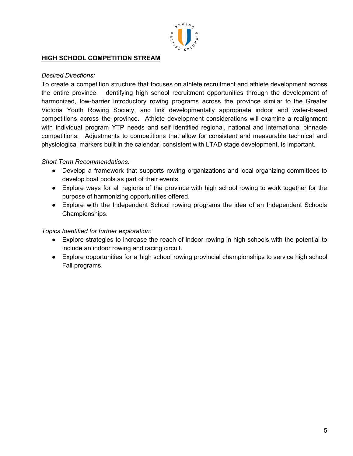

## **HIGH SCHOOL COMPETITION STREAM**

#### *Desired Directions:*

To create a competition structure that focuses on athlete recruitment and athlete development across the entire province. Identifying high school recruitment opportunities through the development of harmonized, low-barrier introductory rowing programs across the province similar to the Greater Victoria Youth Rowing Society, and link developmentally appropriate indoor and water-based competitions across the province. Athlete development considerations will examine a realignment with individual program YTP needs and self identified regional, national and international pinnacle competitions. Adjustments to competitions that allow for consistent and measurable technical and physiological markers built in the calendar, consistent with LTAD stage development, is important.

## *Short Term Recommendations:*

- Develop a framework that supports rowing organizations and local organizing committees to develop boat pools as part of their events.
- Explore ways for all regions of the province with high school rowing to work together for the purpose of harmonizing opportunities offered.
- Explore with the Independent School rowing programs the idea of an Independent Schools Championships.

- Explore strategies to increase the reach of indoor rowing in high schools with the potential to include an indoor rowing and racing circuit.
- Explore opportunities for a high school rowing provincial championships to service high school Fall programs.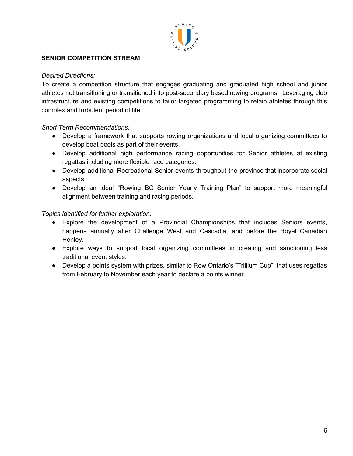

## **SENIOR COMPETITION STREAM**

## *Desired Directions:*

To create a competition structure that engages graduating and graduated high school and junior athletes not transitioning or transitioned into post-secondary based rowing programs. Leveraging club infrastructure and existing competitions to tailor targeted programming to retain athletes through this complex and turbulent period of life.

## *Short Term Recommendations:*

- Develop a framework that supports rowing organizations and local organizing committees to develop boat pools as part of their events.
- Develop additional high performance racing opportunities for Senior athletes at existing regattas including more flexible race categories.
- Develop additional Recreational Senior events throughout the province that incorporate social aspects.
- Develop an ideal "Rowing BC Senior Yearly Training Plan" to support more meaningful alignment between training and racing periods.

- Explore the development of a Provincial Championships that includes Seniors events, happens annually after Challenge West and Cascadia, and before the Royal Canadian Henley.
- Explore ways to support local organizing committees in creating and sanctioning less traditional event styles.
- Develop a points system with prizes, similar to Row Ontario's "Trillium Cup", that uses regattas from February to November each year to declare a points winner.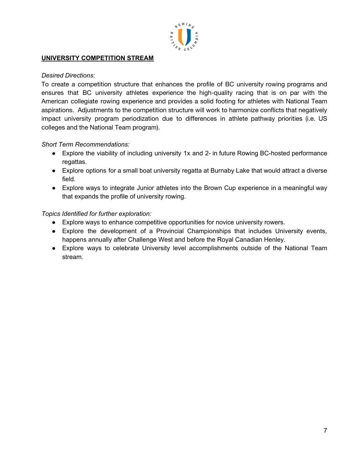

## **UNIVERSITY COMPETITION STREAM**

## *Desired Directions:*

To create a competition structure that enhances the profile of BC university rowing programs and ensures that BC university athletes experience the high-quality racing that is on par with the American collegiate rowing experience and provides a solid footing for athletes with National Team aspirations. Adjustments to the competition structure will work to harmonize conflicts that negatively impact university program periodization due to differences in athlete pathway priorities (i.e. US colleges and the National Team program).

## *Short Term Recommendations:*

- Explore the viability of including university 1x and 2- in future Rowing BC-hosted performance regattas.
- Explore options for a small boat university regatta at Burnaby Lake that would attract a diverse field.
- Explore ways to integrate Junior athletes into the Brown Cup experience in a meaningful way that expands the profile of university rowing.

- Explore ways to enhance competitive opportunities for novice university rowers.
- Explore the development of a Provincial Championships that includes University events, happens annually after Challenge West and before the Royal Canadian Henley.
- Explore ways to celebrate University level accomplishments outside of the National Team stream.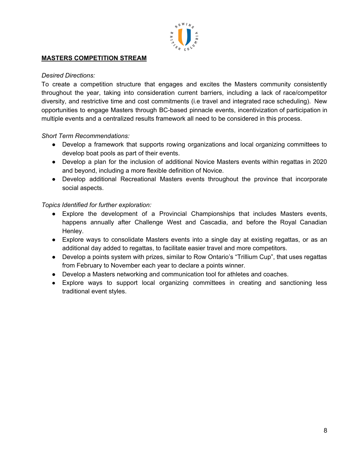

## **MASTERS COMPETITION STREAM**

#### *Desired Directions:*

To create a competition structure that engages and excites the Masters community consistently throughout the year, taking into consideration current barriers, including a lack of race/competitor diversity, and restrictive time and cost commitments (i.e travel and integrated race scheduling). New opportunities to engage Masters through BC-based pinnacle events, incentivization of participation in multiple events and a centralized results framework all need to be considered in this process.

## *Short Term Recommendations:*

- Develop a framework that supports rowing organizations and local organizing committees to develop boat pools as part of their events.
- Develop a plan for the inclusion of additional Novice Masters events within regattas in 2020 and beyond, including a more flexible definition of Novice.
- Develop additional Recreational Masters events throughout the province that incorporate social aspects.

- Explore the development of a Provincial Championships that includes Masters events, happens annually after Challenge West and Cascadia, and before the Royal Canadian Henley.
- Explore ways to consolidate Masters events into a single day at existing regattas, or as an additional day added to regattas, to facilitate easier travel and more competitors.
- Develop a points system with prizes, similar to Row Ontario's "Trillium Cup", that uses regattas from February to November each year to declare a points winner.
- Develop a Masters networking and communication tool for athletes and coaches.
- Explore ways to support local organizing committees in creating and sanctioning less traditional event styles.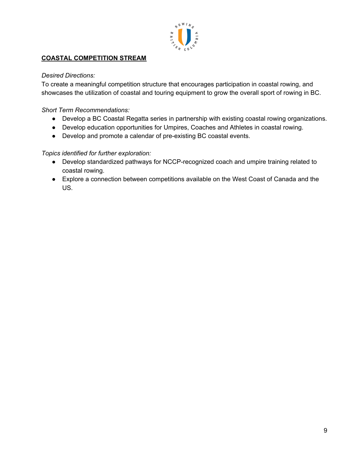

# **COASTAL COMPETITION STREAM**

## *Desired Directions:*

To create a meaningful competition structure that encourages participation in coastal rowing, and showcases the utilization of coastal and touring equipment to grow the overall sport of rowing in BC.

## *Short Term Recommendations:*

- Develop a BC Coastal Regatta series in partnership with existing coastal rowing organizations.
- Develop education opportunities for Umpires, Coaches and Athletes in coastal rowing.
- Develop and promote a calendar of pre-existing BC coastal events.

- Develop standardized pathways for NCCP-recognized coach and umpire training related to coastal rowing.
- Explore a connection between competitions available on the West Coast of Canada and the US.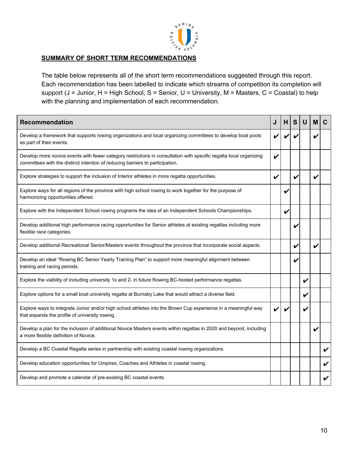

## **SUMMARY OF SHORT TERM RECOMMENDATIONS**

The table below represents all of the short term recommendations suggested through this report. Each recommendation has been labelled to indicate which streams of competition its completion will support (J = Junior, H = High School, S = Senior, U = University, M = Masters, C = Coastal) to help with the planning and implementation of each recommendation.

| <b>Recommendation</b>                                                                                                                                                                               | J | H. | S | U | м                  |  |
|-----------------------------------------------------------------------------------------------------------------------------------------------------------------------------------------------------|---|----|---|---|--------------------|--|
| Develop a framework that supports rowing organizations and local organizing committees to develop boat pools<br>as part of their events.                                                            |   |    |   |   |                    |  |
| Develop more novice events with fewer category restrictions in consultation with specific regatta local organizing<br>committees with the distinct intention of reducing barriers to participation. | V |    |   |   |                    |  |
| Explore strategies to support the inclusion of Interior athletes in more regatta opportunities.                                                                                                     | V |    |   |   | V                  |  |
| Explore ways for all regions of the province with high school rowing to work together for the purpose of<br>harmonizing opportunities offered.                                                      |   |    |   |   |                    |  |
| Explore with the Independent School rowing programs the idea of an Independent Schools Championships.                                                                                               |   | V  |   |   |                    |  |
| Develop additional high performance racing opportunities for Senior athletes at existing regattas including more<br>flexible race categories.                                                       |   |    |   |   |                    |  |
| Develop additional Recreational Senior/Masters events throughout the province that incorporate social aspects.                                                                                      |   |    | V |   | $\boldsymbol{\nu}$ |  |
| Develop an ideal "Rowing BC Senior Yearly Training Plan" to support more meaningful alignment between<br>training and racing periods.                                                               |   |    | v |   |                    |  |
| Explore the viability of including university 1x and 2- in future Rowing BC-hosted performance regattas.                                                                                            |   |    |   | V |                    |  |
| Explore options for a small boat university regatta at Burnaby Lake that would attract a diverse field.                                                                                             |   |    |   |   |                    |  |
| Explore ways to integrate Junior and/or high school athletes into the Brown Cup experience in a meaningful way<br>that expands the profile of university rowing.                                    |   |    |   | V |                    |  |
| Develop a plan for the inclusion of additional Novice Masters events within regattas in 2020 and beyond, including<br>a more flexible definition of Novice.                                         |   |    |   |   |                    |  |
| Develop a BC Coastal Regatta series in partnership with existing coastal rowing organizations.                                                                                                      |   |    |   |   |                    |  |
| Develop education opportunities for Umpires, Coaches and Athletes in coastal rowing.                                                                                                                |   |    |   |   |                    |  |
| Develop and promote a calendar of pre-existing BC coastal events.                                                                                                                                   |   |    |   |   |                    |  |